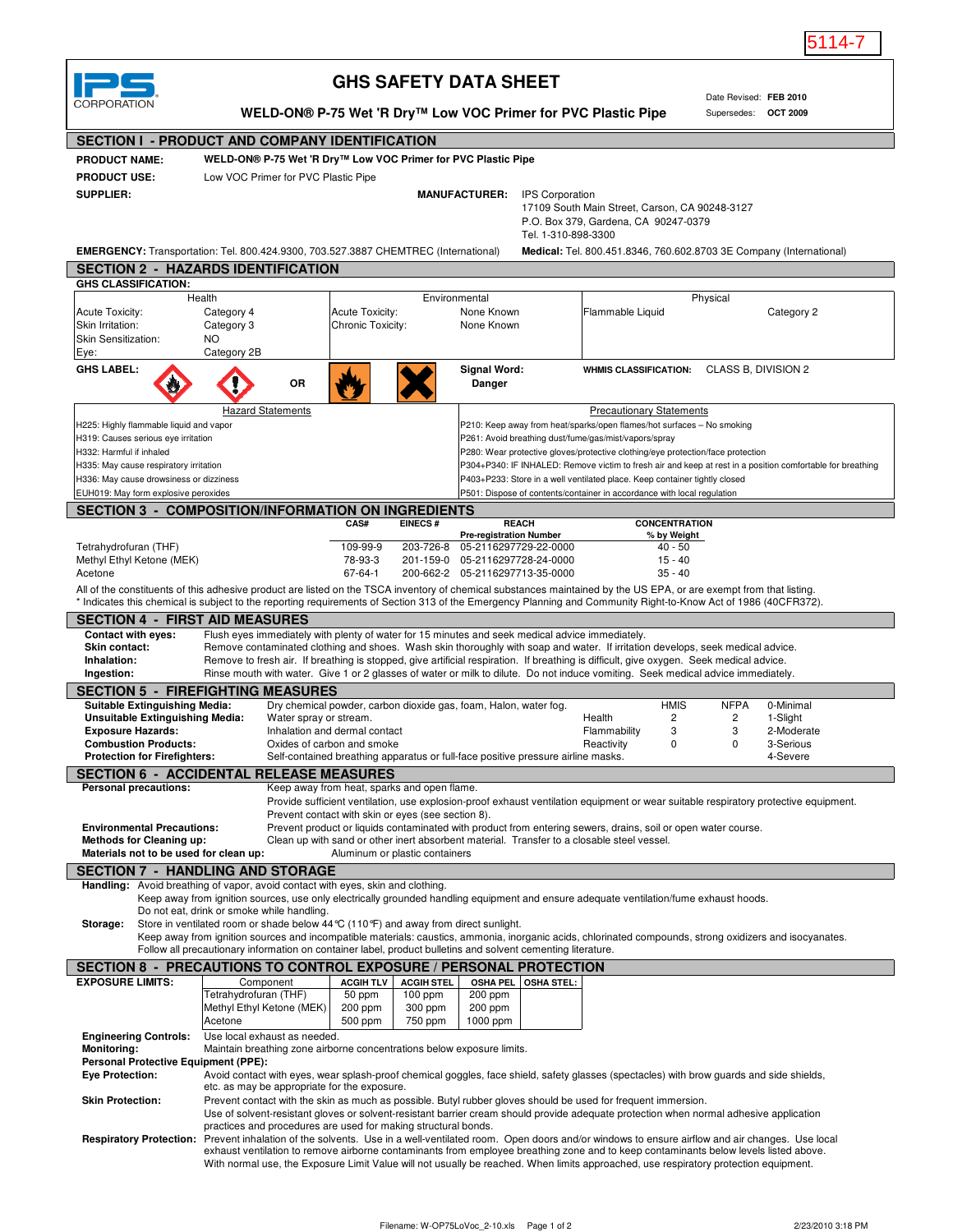

## **GHS SAFETY DATA SHEET**

| CORPORATION                                                                                                                                                                                                                                                                                                                                                                                                                                                         |                                                                                        |                                                                |                                      |                    | <b>GHS SAFETY DATA SHEET</b>                                                                                                                                                                                                                                                |                        |                                           |                      |             | Date Revised: FEB 2010                                                                                                                                   |  |
|---------------------------------------------------------------------------------------------------------------------------------------------------------------------------------------------------------------------------------------------------------------------------------------------------------------------------------------------------------------------------------------------------------------------------------------------------------------------|----------------------------------------------------------------------------------------|----------------------------------------------------------------|--------------------------------------|--------------------|-----------------------------------------------------------------------------------------------------------------------------------------------------------------------------------------------------------------------------------------------------------------------------|------------------------|-------------------------------------------|----------------------|-------------|----------------------------------------------------------------------------------------------------------------------------------------------------------|--|
|                                                                                                                                                                                                                                                                                                                                                                                                                                                                     |                                                                                        |                                                                |                                      |                    | WELD-ON® P-75 Wet 'R Dry™ Low VOC Primer for PVC Plastic Pipe                                                                                                                                                                                                               |                        |                                           |                      |             | Supersedes: OCT 2009                                                                                                                                     |  |
| <b>SECTION I - PRODUCT AND COMPANY IDENTIFICATION</b>                                                                                                                                                                                                                                                                                                                                                                                                               |                                                                                        |                                                                |                                      |                    |                                                                                                                                                                                                                                                                             |                        |                                           |                      |             |                                                                                                                                                          |  |
| <b>PRODUCT NAME:</b>                                                                                                                                                                                                                                                                                                                                                                                                                                                |                                                                                        |                                                                |                                      |                    | WELD-ON® P-75 Wet 'R Dry™ Low VOC Primer for PVC Plastic Pipe                                                                                                                                                                                                               |                        |                                           |                      |             |                                                                                                                                                          |  |
| <b>PRODUCT USE:</b>                                                                                                                                                                                                                                                                                                                                                                                                                                                 |                                                                                        | Low VOC Primer for PVC Plastic Pipe                            |                                      |                    |                                                                                                                                                                                                                                                                             |                        |                                           |                      |             |                                                                                                                                                          |  |
| <b>SUPPLIER:</b>                                                                                                                                                                                                                                                                                                                                                                                                                                                    |                                                                                        |                                                                |                                      |                    | <b>MANUFACTURER:</b>                                                                                                                                                                                                                                                        | <b>IPS Corporation</b> |                                           |                      |             |                                                                                                                                                          |  |
|                                                                                                                                                                                                                                                                                                                                                                                                                                                                     | 17109 South Main Street, Carson, CA 90248-3127<br>P.O. Box 379, Gardena, CA 90247-0379 |                                                                |                                      |                    |                                                                                                                                                                                                                                                                             |                        |                                           |                      |             |                                                                                                                                                          |  |
|                                                                                                                                                                                                                                                                                                                                                                                                                                                                     |                                                                                        |                                                                |                                      |                    |                                                                                                                                                                                                                                                                             | Tel. 1-310-898-3300    |                                           |                      |             |                                                                                                                                                          |  |
| <b>EMERGENCY:</b> Transportation: Tel. 800.424.9300, 703.527.3887 CHEMTREC (International)                                                                                                                                                                                                                                                                                                                                                                          |                                                                                        |                                                                |                                      |                    |                                                                                                                                                                                                                                                                             |                        |                                           |                      |             | Medical: Tel. 800.451.8346, 760.602.8703 3E Company (International)                                                                                      |  |
| <b>SECTION 2 - HAZARDS IDENTIFICATION</b>                                                                                                                                                                                                                                                                                                                                                                                                                           |                                                                                        |                                                                |                                      |                    |                                                                                                                                                                                                                                                                             |                        |                                           |                      |             |                                                                                                                                                          |  |
| <b>GHS CLASSIFICATION:</b>                                                                                                                                                                                                                                                                                                                                                                                                                                          |                                                                                        |                                                                |                                      |                    |                                                                                                                                                                                                                                                                             |                        |                                           |                      |             |                                                                                                                                                          |  |
|                                                                                                                                                                                                                                                                                                                                                                                                                                                                     | Health                                                                                 |                                                                |                                      |                    | Environmental                                                                                                                                                                                                                                                               |                        |                                           |                      | Physical    |                                                                                                                                                          |  |
| <b>Acute Toxicity:</b><br>Skin Irritation:                                                                                                                                                                                                                                                                                                                                                                                                                          | Category 4<br>Category 3                                                               |                                                                | Acute Toxicity:<br>Chronic Toxicity: |                    | None Known<br>None Known                                                                                                                                                                                                                                                    |                        | Flammable Liquid                          |                      |             | Category 2                                                                                                                                               |  |
| Skin Sensitization:                                                                                                                                                                                                                                                                                                                                                                                                                                                 | NO.                                                                                    |                                                                |                                      |                    |                                                                                                                                                                                                                                                                             |                        |                                           |                      |             |                                                                                                                                                          |  |
| Eye:                                                                                                                                                                                                                                                                                                                                                                                                                                                                | Category 2B                                                                            |                                                                |                                      |                    |                                                                                                                                                                                                                                                                             |                        |                                           |                      |             |                                                                                                                                                          |  |
| <b>GHS LABEL:</b>                                                                                                                                                                                                                                                                                                                                                                                                                                                   |                                                                                        |                                                                |                                      |                    | Signal Word:                                                                                                                                                                                                                                                                |                        | WHMIS CLASSIFICATION: CLASS B, DIVISION 2 |                      |             |                                                                                                                                                          |  |
|                                                                                                                                                                                                                                                                                                                                                                                                                                                                     |                                                                                        | OR                                                             |                                      |                    | Danger                                                                                                                                                                                                                                                                      |                        |                                           |                      |             |                                                                                                                                                          |  |
|                                                                                                                                                                                                                                                                                                                                                                                                                                                                     |                                                                                        | <b>Hazard Statements</b>                                       |                                      |                    |                                                                                                                                                                                                                                                                             |                        | <b>Precautionary Statements</b>           |                      |             |                                                                                                                                                          |  |
| H225: Highly flammable liquid and vapor                                                                                                                                                                                                                                                                                                                                                                                                                             |                                                                                        |                                                                |                                      |                    | P210: Keep away from heat/sparks/open flames/hot surfaces - No smoking                                                                                                                                                                                                      |                        |                                           |                      |             |                                                                                                                                                          |  |
| H319: Causes serious eye irritation                                                                                                                                                                                                                                                                                                                                                                                                                                 |                                                                                        |                                                                |                                      |                    | P261: Avoid breathing dust/fume/gas/mist/vapors/spray                                                                                                                                                                                                                       |                        |                                           |                      |             |                                                                                                                                                          |  |
| H332: Harmful if inhaled                                                                                                                                                                                                                                                                                                                                                                                                                                            |                                                                                        |                                                                |                                      |                    | P280: Wear protective gloves/protective clothing/eye protection/face protection                                                                                                                                                                                             |                        |                                           |                      |             |                                                                                                                                                          |  |
| H335: May cause respiratory irritation                                                                                                                                                                                                                                                                                                                                                                                                                              |                                                                                        |                                                                |                                      |                    |                                                                                                                                                                                                                                                                             |                        |                                           |                      |             | P304+P340: IF INHALED: Remove victim to fresh air and keep at rest in a position comfortable for breathing                                               |  |
| H336: May cause drowsiness or dizziness<br>EUH019: May form explosive peroxides                                                                                                                                                                                                                                                                                                                                                                                     |                                                                                        |                                                                |                                      |                    | P403+P233: Store in a well ventilated place. Keep container tightly closed<br>P501: Dispose of contents/container in accordance with local regulation                                                                                                                       |                        |                                           |                      |             |                                                                                                                                                          |  |
| <b>SECTION 3 - COMPOSITION/INFORMATION ON INGREDIENTS</b>                                                                                                                                                                                                                                                                                                                                                                                                           |                                                                                        |                                                                |                                      |                    |                                                                                                                                                                                                                                                                             |                        |                                           |                      |             |                                                                                                                                                          |  |
|                                                                                                                                                                                                                                                                                                                                                                                                                                                                     |                                                                                        |                                                                | CAS#                                 | <b>EINECS#</b>     | <b>REACH</b>                                                                                                                                                                                                                                                                |                        |                                           | <b>CONCENTRATION</b> |             |                                                                                                                                                          |  |
|                                                                                                                                                                                                                                                                                                                                                                                                                                                                     |                                                                                        |                                                                |                                      |                    | <b>Pre-registration Number</b>                                                                                                                                                                                                                                              |                        |                                           | % by Weight          |             |                                                                                                                                                          |  |
| Tetrahydrofuran (THF)<br>Methyl Ethyl Ketone (MEK)                                                                                                                                                                                                                                                                                                                                                                                                                  |                                                                                        |                                                                | 109-99-9<br>78-93-3                  | 203-726-8          | 05-2116297729-22-0000<br>201-159-0 05-2116297728-24-0000                                                                                                                                                                                                                    |                        |                                           | 40 - 50<br>$15 - 40$ |             |                                                                                                                                                          |  |
| Acetone                                                                                                                                                                                                                                                                                                                                                                                                                                                             |                                                                                        |                                                                | $67 - 64 - 1$                        |                    | 200-662-2 05-2116297713-35-0000                                                                                                                                                                                                                                             |                        |                                           | $35 - 40$            |             |                                                                                                                                                          |  |
|                                                                                                                                                                                                                                                                                                                                                                                                                                                                     |                                                                                        |                                                                |                                      |                    |                                                                                                                                                                                                                                                                             |                        |                                           |                      |             |                                                                                                                                                          |  |
|                                                                                                                                                                                                                                                                                                                                                                                                                                                                     |                                                                                        |                                                                |                                      |                    |                                                                                                                                                                                                                                                                             |                        |                                           |                      |             |                                                                                                                                                          |  |
|                                                                                                                                                                                                                                                                                                                                                                                                                                                                     |                                                                                        |                                                                |                                      |                    |                                                                                                                                                                                                                                                                             |                        |                                           |                      |             |                                                                                                                                                          |  |
| All of the constituents of this adhesive product are listed on the TSCA inventory of chemical substances maintained by the US EPA, or are exempt from that listing.<br>* Indicates this chemical is subject to the reporting requirements of Section 313 of the Emergency Planning and Community Right-to-Know Act of 1986 (40CFR372).<br><b>SECTION 4 - FIRST AID MEASURES</b>                                                                                     |                                                                                        |                                                                |                                      |                    |                                                                                                                                                                                                                                                                             |                        |                                           |                      |             |                                                                                                                                                          |  |
| <b>Contact with eyes:</b>                                                                                                                                                                                                                                                                                                                                                                                                                                           |                                                                                        |                                                                |                                      |                    | Flush eyes immediately with plenty of water for 15 minutes and seek medical advice immediately.                                                                                                                                                                             |                        |                                           |                      |             |                                                                                                                                                          |  |
|                                                                                                                                                                                                                                                                                                                                                                                                                                                                     |                                                                                        |                                                                |                                      |                    | Remove contaminated clothing and shoes. Wash skin thoroughly with soap and water. If irritation develops, seek medical advice.                                                                                                                                              |                        |                                           |                      |             |                                                                                                                                                          |  |
|                                                                                                                                                                                                                                                                                                                                                                                                                                                                     |                                                                                        |                                                                |                                      |                    | Remove to fresh air. If breathing is stopped, give artificial respiration. If breathing is difficult, give oxygen. Seek medical advice.<br>Rinse mouth with water. Give 1 or 2 glasses of water or milk to dilute. Do not induce vomiting. Seek medical advice immediately. |                        |                                           |                      |             |                                                                                                                                                          |  |
| <b>Skin contact:</b><br>Inhalation:<br>Ingestion:<br><b>SECTION 5 - FIREFIGHTING MEASURES</b>                                                                                                                                                                                                                                                                                                                                                                       |                                                                                        |                                                                |                                      |                    |                                                                                                                                                                                                                                                                             |                        |                                           |                      |             |                                                                                                                                                          |  |
| <b>Suitable Extinguishing Media:</b>                                                                                                                                                                                                                                                                                                                                                                                                                                |                                                                                        |                                                                |                                      |                    | Dry chemical powder, carbon dioxide gas, foam, Halon, water fog.                                                                                                                                                                                                            |                        |                                           | <b>HMIS</b>          | <b>NFPA</b> | 0-Minimal                                                                                                                                                |  |
|                                                                                                                                                                                                                                                                                                                                                                                                                                                                     |                                                                                        | Water spray or stream.                                         |                                      |                    |                                                                                                                                                                                                                                                                             |                        | Health                                    | 2                    | 2           | 1-Slight                                                                                                                                                 |  |
|                                                                                                                                                                                                                                                                                                                                                                                                                                                                     |                                                                                        | Inhalation and dermal contact                                  |                                      |                    |                                                                                                                                                                                                                                                                             |                        | Flammability                              | 3                    | 3           | 2-Moderate                                                                                                                                               |  |
|                                                                                                                                                                                                                                                                                                                                                                                                                                                                     |                                                                                        | Oxides of carbon and smoke                                     |                                      |                    | Self-contained breathing apparatus or full-face positive pressure airline masks.                                                                                                                                                                                            |                        | Reactivity                                | 0                    | 0           | 3-Serious<br>4-Severe                                                                                                                                    |  |
|                                                                                                                                                                                                                                                                                                                                                                                                                                                                     |                                                                                        |                                                                |                                      |                    |                                                                                                                                                                                                                                                                             |                        |                                           |                      |             |                                                                                                                                                          |  |
|                                                                                                                                                                                                                                                                                                                                                                                                                                                                     |                                                                                        | Keep away from heat, sparks and open flame.                    |                                      |                    |                                                                                                                                                                                                                                                                             |                        |                                           |                      |             |                                                                                                                                                          |  |
|                                                                                                                                                                                                                                                                                                                                                                                                                                                                     |                                                                                        |                                                                |                                      |                    |                                                                                                                                                                                                                                                                             |                        |                                           |                      |             | Provide sufficient ventilation, use explosion-proof exhaust ventilation equipment or wear suitable respiratory protective equipment.                     |  |
|                                                                                                                                                                                                                                                                                                                                                                                                                                                                     |                                                                                        | Prevent contact with skin or eyes (see section 8).             |                                      |                    |                                                                                                                                                                                                                                                                             |                        |                                           |                      |             |                                                                                                                                                          |  |
|                                                                                                                                                                                                                                                                                                                                                                                                                                                                     |                                                                                        |                                                                |                                      |                    | Prevent product or liquids contaminated with product from entering sewers, drains, soil or open water course.                                                                                                                                                               |                        |                                           |                      |             |                                                                                                                                                          |  |
|                                                                                                                                                                                                                                                                                                                                                                                                                                                                     |                                                                                        |                                                                | Aluminum or plastic containers       |                    | Clean up with sand or other inert absorbent material. Transfer to a closable steel vessel.                                                                                                                                                                                  |                        |                                           |                      |             |                                                                                                                                                          |  |
|                                                                                                                                                                                                                                                                                                                                                                                                                                                                     |                                                                                        |                                                                |                                      |                    |                                                                                                                                                                                                                                                                             |                        |                                           |                      |             |                                                                                                                                                          |  |
|                                                                                                                                                                                                                                                                                                                                                                                                                                                                     |                                                                                        |                                                                |                                      |                    |                                                                                                                                                                                                                                                                             |                        |                                           |                      |             |                                                                                                                                                          |  |
| Unsuitable Extinguishing Media:<br><b>Exposure Hazards:</b><br><b>Combustion Products:</b><br><b>Protection for Firefighters:</b><br><b>SECTION 6 - ACCIDENTAL RELEASE MEASURES</b><br><b>Personal precautions:</b><br><b>Environmental Precautions:</b><br><b>Methods for Cleaning up:</b><br>Materials not to be used for clean up:<br><b>SECTION 7 - HANDLING AND STORAGE</b><br>Handling: Avoid breathing of vapor, avoid contact with eyes, skin and clothing. |                                                                                        |                                                                |                                      |                    | Keep away from ignition sources, use only electrically grounded handling equipment and ensure adequate ventilation/fume exhaust hoods.                                                                                                                                      |                        |                                           |                      |             |                                                                                                                                                          |  |
|                                                                                                                                                                                                                                                                                                                                                                                                                                                                     | Do not eat, drink or smoke while handling.                                             |                                                                |                                      |                    |                                                                                                                                                                                                                                                                             |                        |                                           |                      |             |                                                                                                                                                          |  |
|                                                                                                                                                                                                                                                                                                                                                                                                                                                                     | Store in ventilated room or shade below 44 °C (110 °F) and away from direct sunlight.  |                                                                |                                      |                    |                                                                                                                                                                                                                                                                             |                        |                                           |                      |             | Keep away from ignition sources and incompatible materials: caustics, ammonia, inorganic acids, chlorinated compounds, strong oxidizers and isocyanates. |  |
|                                                                                                                                                                                                                                                                                                                                                                                                                                                                     |                                                                                        |                                                                |                                      |                    | Follow all precautionary information on container label, product bulletins and solvent cementing literature.                                                                                                                                                                |                        |                                           |                      |             |                                                                                                                                                          |  |
|                                                                                                                                                                                                                                                                                                                                                                                                                                                                     |                                                                                        |                                                                |                                      |                    |                                                                                                                                                                                                                                                                             |                        |                                           |                      |             |                                                                                                                                                          |  |
|                                                                                                                                                                                                                                                                                                                                                                                                                                                                     |                                                                                        | Component                                                      | <b>ACGIH TLV</b>                     | <b>ACGIH STEL</b>  | OSHA PEL   OSHA STEL:                                                                                                                                                                                                                                                       |                        |                                           |                      |             |                                                                                                                                                          |  |
|                                                                                                                                                                                                                                                                                                                                                                                                                                                                     | Tetrahydrofuran (THF)                                                                  |                                                                | 50 ppm                               | $100$ ppm          | 200 ppm                                                                                                                                                                                                                                                                     |                        |                                           |                      |             |                                                                                                                                                          |  |
| Storage:<br>SECTION 8 - PRECAUTIONS TO CONTROL EXPOSURE / PERSONAL PROTECTION<br><b>EXPOSURE LIMITS:</b>                                                                                                                                                                                                                                                                                                                                                            | Methyl Ethyl Ketone (MEK)<br>Acetone                                                   |                                                                | 200 ppm<br>500 ppm                   | 300 ppm<br>750 ppm | 200 ppm<br>1000 ppm                                                                                                                                                                                                                                                         |                        |                                           |                      |             |                                                                                                                                                          |  |
|                                                                                                                                                                                                                                                                                                                                                                                                                                                                     |                                                                                        | Use local exhaust as needed.                                   |                                      |                    |                                                                                                                                                                                                                                                                             |                        |                                           |                      |             |                                                                                                                                                          |  |
|                                                                                                                                                                                                                                                                                                                                                                                                                                                                     |                                                                                        |                                                                |                                      |                    | Maintain breathing zone airborne concentrations below exposure limits.                                                                                                                                                                                                      |                        |                                           |                      |             |                                                                                                                                                          |  |
|                                                                                                                                                                                                                                                                                                                                                                                                                                                                     |                                                                                        |                                                                |                                      |                    |                                                                                                                                                                                                                                                                             |                        |                                           |                      |             |                                                                                                                                                          |  |
| <b>Engineering Controls:</b><br>Monitoring:<br><b>Personal Protective Equipment (PPE):</b><br><b>Eye Protection:</b>                                                                                                                                                                                                                                                                                                                                                |                                                                                        | etc. as may be appropriate for the exposure.                   |                                      |                    | Avoid contact with eyes, wear splash-proof chemical goggles, face shield, safety glasses (spectacles) with brow guards and side shields,                                                                                                                                    |                        |                                           |                      |             |                                                                                                                                                          |  |
| <b>Skin Protection:</b>                                                                                                                                                                                                                                                                                                                                                                                                                                             |                                                                                        |                                                                |                                      |                    | Prevent contact with the skin as much as possible. Butyl rubber gloves should be used for frequent immersion.                                                                                                                                                               |                        |                                           |                      |             |                                                                                                                                                          |  |
|                                                                                                                                                                                                                                                                                                                                                                                                                                                                     |                                                                                        |                                                                |                                      |                    | Use of solvent-resistant gloves or solvent-resistant barrier cream should provide adequate protection when normal adhesive application                                                                                                                                      |                        |                                           |                      |             |                                                                                                                                                          |  |
|                                                                                                                                                                                                                                                                                                                                                                                                                                                                     |                                                                                        | practices and procedures are used for making structural bonds. |                                      |                    |                                                                                                                                                                                                                                                                             |                        |                                           |                      |             |                                                                                                                                                          |  |
| Respiratory Protection: Prevent inhalation of the solvents. Use in a well-ventilated room. Open doors and/or windows to ensure airflow and air changes. Use local                                                                                                                                                                                                                                                                                                   |                                                                                        |                                                                |                                      |                    | exhaust ventilation to remove airborne contaminants from employee breathing zone and to keep contaminants below levels listed above.                                                                                                                                        |                        |                                           |                      |             |                                                                                                                                                          |  |
|                                                                                                                                                                                                                                                                                                                                                                                                                                                                     |                                                                                        |                                                                |                                      |                    | With normal use, the Exposure Limit Value will not usually be reached. When limits approached, use respiratory protection equipment.                                                                                                                                        |                        |                                           |                      |             |                                                                                                                                                          |  |